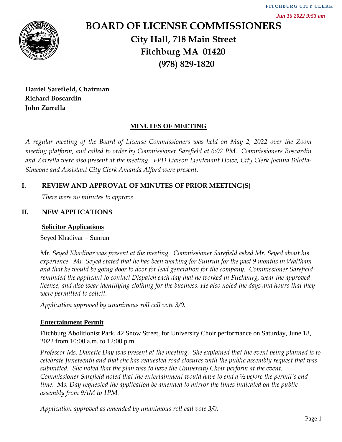

# **BOARD OF LICENSE COMMISSIONERS City Hall, 718 Main Street Fitchburg MA 01420 (978) 829-1820**

**Daniel Sarefield, Chairman Richard Boscardin John Zarrella**

## **MINUTES OF MEETING**

*A regular meeting of the Board of License Commissioners was held on May 2, 2022 over the Zoom meeting platform, and called to order by Commissioner Sarefield at 6:02 PM. Commissioners Boscardin and Zarrella were also present at the meeting. FPD Liaison Lieutenant Howe, City Clerk Joanna Bilotta-Simeone and Assistant City Clerk Amanda Alford were present.*

## **I. REVIEW AND APPROVAL OF MINUTES OF PRIOR MEETING(S)**

*There were no minutes to approve*.

## **II. NEW APPLICATIONS**

#### **Solicitor Applications**

Seyed Khadivar – Sunrun

*Mr. Seyed Khadivar was present at the meeting. Commissioner Sarefield asked Mr. Seyed about his experience. Mr. Seyed stated that he has been working for Sunrun for the past 9 months in Waltham and that he would be going door to door for lead generation for the company. Commissioner Sarefield reminded the applicant to contact Dispatch each day that he worked in Fitchburg, wear the approved license, and also wear identifying clothing for the business. He also noted the days and hours that they were permitted to solicit.* 

*Application approved by unanimous roll call vote 3/0.*

## **Entertainment Permit**

Fitchburg Abolitionist Park, 42 Snow Street, for University Choir performance on Saturday, June 18, 2022 from 10:00 a.m. to 12:00 p.m.

*Professor Ms. Danette Day was present at the meeting. She explained that the event being planned is to celebrate Juneteenth and that she has requested road closures with the public assembly request that was submitted. She noted that the plan was to have the University Choir perform at the event. Commissioner Sarefield noted that the entertainment would have to end a ½ before the permit's end time. Ms. Day requested the application be amended to mirror the times indicated on the public assembly from 9AM to 1PM.* 

*Application approved as amended by unanimous roll call vote 3/0.*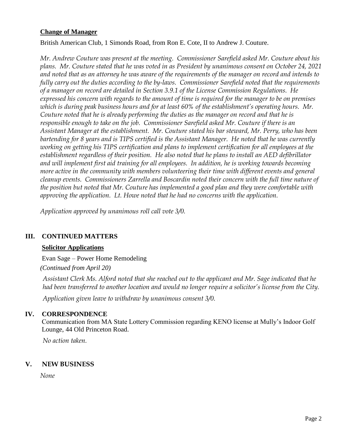#### **Change of Manager**

British American Club, 1 Simonds Road, from Ron E. Cote, II to Andrew J. Couture.

*Mr. Andrew Couture was present at the meeting. Commissioner Sarefield asked Mr. Couture about his plans. Mr. Couture stated that he was voted in as President by unanimous consent on October 24, 2021 and noted that as an attorney he was aware of the requirements of the manager on record and intends to fully carry out the duties according to the by-laws. Commissioner Sarefield noted that the requirements of a manager on record are detailed in Section 3.9.1 of the License Commission Regulations. He expressed his concern with regards to the amount of time is required for the manager to be on premises which is during peak business hours and for at least 60% of the establishment's operating hours. Mr. Couture noted that he is already performing the duties as the manager on record and that he is responsible enough to take on the job. Commissioner Sarefield asked Mr. Couture if there is an Assistant Manager at the establishment. Mr. Couture stated his bar steward, Mr. Perry, who has been bartending for 8 years and is TIPS certified is the Assistant Manager. He noted that he was currently working on getting his TIPS certification and plans to implement certification for all employees at the establishment regardless of their position. He also noted that he plans to install an AED defibrillator and will implement first aid training for all employees. In addition, he is working towards becoming more active in the community with members volunteering their time with different events and general cleanup events. Commissioners Zarrella and Boscardin noted their concern with the full time nature of the position but noted that Mr. Couture has implemented a good plan and they were comfortable with approving the application. Lt. Howe noted that he had no concerns with the application.* 

*Application approved by unanimous roll call vote 3/0.*

#### **III. CONTINUED MATTERS**

#### **Solicitor Applications**

Evan Sage – Power Home Remodeling

*(Continued from April 20)*

*Assistant Clerk Ms. Alford noted that she reached out to the applicant and Mr. Sage indicated that he had been transferred to another location and would no longer require a solicitor's license from the City.* 

*Application given leave to withdraw by unanimous consent 3/0.* 

#### **IV. CORRESPONDENCE**

Communication from MA State Lottery Commission regarding KENO license at Mully's Indoor Golf Lounge, 44 Old Princeton Road.

*No action taken.* 

#### **V. NEW BUSINESS**

*None*